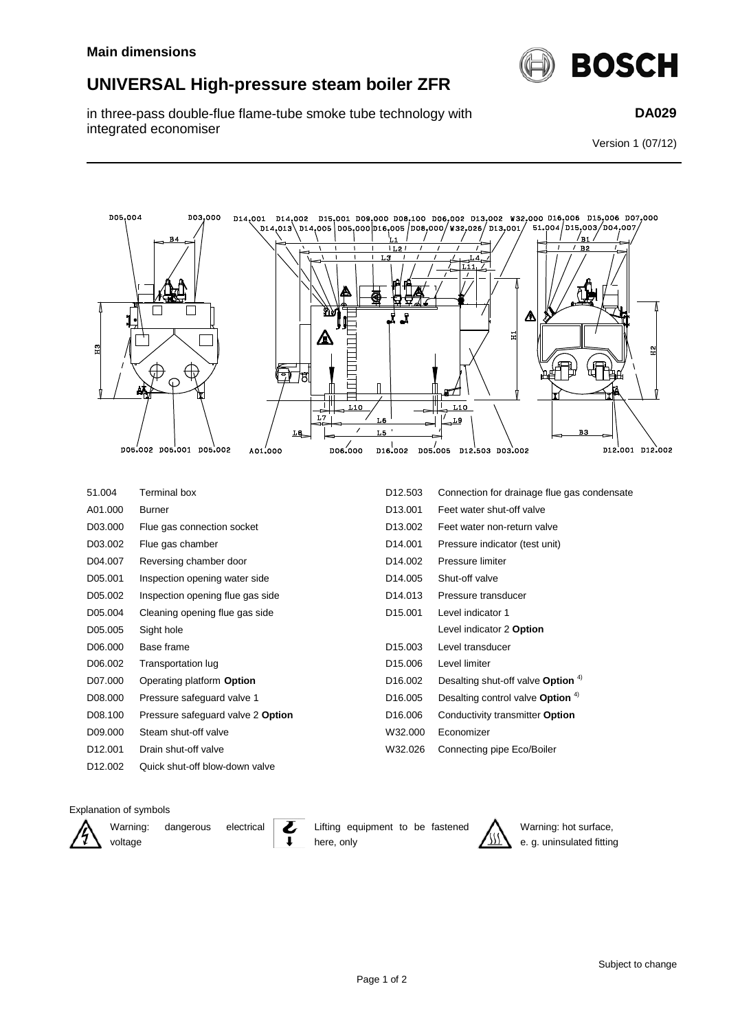## **UNIVERSAL High-pressure steam boiler ZFR**

in three-pass double-flue flame-tube smoke tube technology with integrated economiser



**DA029**

Version 1 (07/12)



D12.001 Drain shut-off valve W32.026 Connecting pipe Eco/Boiler

Explanation of symbols

voltage

D12.002 Quick shut-off blow-down valve

Warning: dangerous electrical

Lifting equipment to be fastened



Warning: hot surface, e. g. uninsulated fitting

here, only